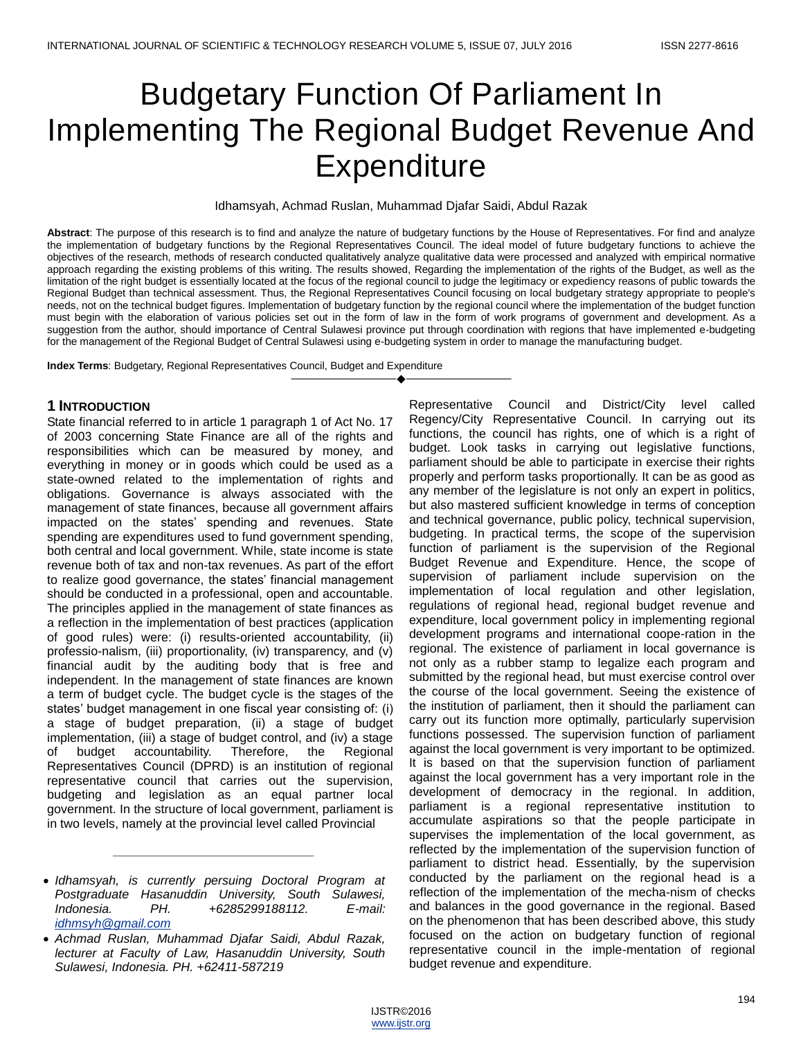# Budgetary Function Of Parliament In Implementing The Regional Budget Revenue And Expenditure

Idhamsyah, Achmad Ruslan, Muhammad Djafar Saidi, Abdul Razak

**Abstract**: The purpose of this research is to find and analyze the nature of budgetary functions by the House of Representatives. For find and analyze the implementation of budgetary functions by the Regional Representatives Council. The ideal model of future budgetary functions to achieve the objectives of the research, methods of research conducted qualitatively analyze qualitative data were processed and analyzed with empirical normative approach regarding the existing problems of this writing. The results showed, Regarding the implementation of the rights of the Budget, as well as the limitation of the right budget is essentially located at the focus of the regional council to judge the legitimacy or expediency reasons of public towards the Regional Budget than technical assessment. Thus, the Regional Representatives Council focusing on local budgetary strategy appropriate to people's needs, not on the technical budget figures. Implementation of budgetary function by the regional council where the implementation of the budget function must begin with the elaboration of various policies set out in the form of law in the form of work programs of government and development. As a suggestion from the author, should importance of Central Sulawesi province put through coordination with regions that have implemented e-budgeting for the management of the Regional Budget of Central Sulawesi using e-budgeting system in order to manage the manufacturing budget.

————————————————————

**Index Terms**: Budgetary, Regional Representatives Council, Budget and Expenditure

# **1 INTRODUCTION**

State financial referred to in article 1 paragraph 1 of Act No. 17 of 2003 concerning State Finance are all of the rights and responsibilities which can be measured by money, and everything in money or in goods which could be used as a state-owned related to the implementation of rights and obligations. Governance is always associated with the management of state finances, because all government affairs impacted on the states' spending and revenues. State spending are expenditures used to fund government spending, both central and local government. While, state income is state revenue both of tax and non-tax revenues. As part of the effort to realize good governance, the states' financial management should be conducted in a professional, open and accountable. The principles applied in the management of state finances as a reflection in the implementation of best practices (application of good rules) were: (i) results-oriented accountability, (ii) professio-nalism, (iii) proportionality, (iv) transparency, and (v) financial audit by the auditing body that is free and independent. In the management of state finances are known a term of budget cycle. The budget cycle is the stages of the states' budget management in one fiscal year consisting of: (i) a stage of budget preparation, (ii) a stage of budget implementation, (iii) a stage of budget control, and (iv) a stage of budget accountability. Therefore, the Regional Representatives Council (DPRD) is an institution of regional representative council that carries out the supervision, budgeting and legislation as an equal partner local government. In the structure of local government, parliament is in two levels, namely at the provincial level called Provincial

*\_\_\_\_\_\_\_\_\_\_\_\_\_\_\_\_\_\_\_\_\_\_\_\_\_\_\_\_\_*

Representative Council and District/City level called Regency/City Representative Council. In carrying out its functions, the council has rights, one of which is a right of budget. Look tasks in carrying out legislative functions, parliament should be able to participate in exercise their rights properly and perform tasks proportionally. It can be as good as any member of the legislature is not only an expert in politics, but also mastered sufficient knowledge in terms of conception and technical governance, public policy, technical supervision, budgeting. In practical terms, the scope of the supervision function of parliament is the supervision of the Regional Budget Revenue and Expenditure. Hence, the scope of supervision of parliament include supervision on the implementation of local regulation and other legislation, regulations of regional head, regional budget revenue and expenditure, local government policy in implementing regional development programs and international coope-ration in the regional. The existence of parliament in local governance is not only as a rubber stamp to legalize each program and submitted by the regional head, but must exercise control over the course of the local government. Seeing the existence of the institution of parliament, then it should the parliament can carry out its function more optimally, particularly supervision functions possessed. The supervision function of parliament against the local government is very important to be optimized. It is based on that the supervision function of parliament against the local government has a very important role in the development of democracy in the regional. In addition, parliament is a regional representative institution to accumulate aspirations so that the people participate in supervises the implementation of the local government, as reflected by the implementation of the supervision function of parliament to district head. Essentially, by the supervision conducted by the parliament on the regional head is a reflection of the implementation of the mecha-nism of checks and balances in the good governance in the regional. Based on the phenomenon that has been described above, this study focused on the action on budgetary function of regional representative council in the imple-mentation of regional budget revenue and expenditure.

*Idhamsyah, is currently persuing Doctoral Program at Postgraduate Hasanuddin University, South Sulawesi, Indonesia. PH. +6285299188112. E-mail: [idhmsyh@gmail.com](mailto:idhmsyh@gmail.com)*

*Achmad Ruslan, Muhammad Djafar Saidi, Abdul Razak, lecturer at Faculty of Law, Hasanuddin University, South Sulawesi, Indonesia. PH. +62411-587219*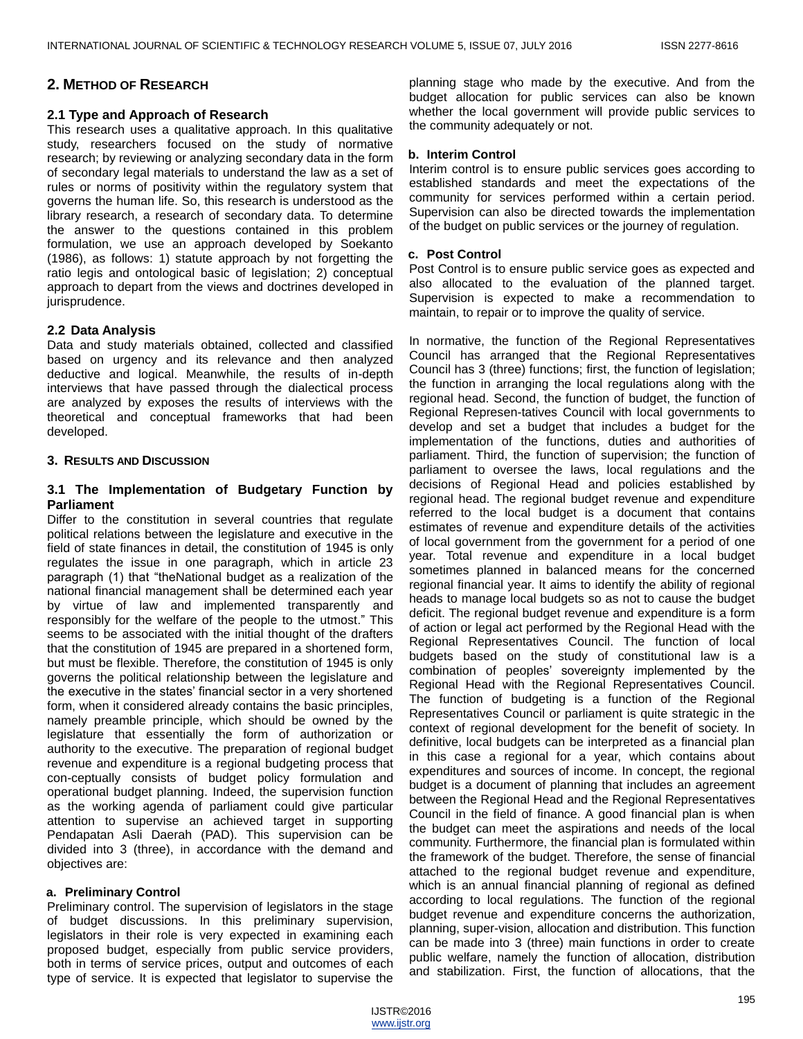# **2. METHOD OF RESEARCH**

#### **2.1 Type and Approach of Research**

This research uses a qualitative approach. In this qualitative study, researchers focused on the study of normative research; by reviewing or analyzing secondary data in the form of secondary legal materials to understand the law as a set of rules or norms of positivity within the regulatory system that governs the human life. So, this research is understood as the library research, a research of secondary data. To determine the answer to the questions contained in this problem formulation, we use an approach developed by Soekanto (1986), as follows: 1) statute approach by not forgetting the ratio legis and ontological basic of legislation; 2) conceptual approach to depart from the views and doctrines developed in jurisprudence.

#### **2.2 Data Analysis**

Data and study materials obtained, collected and classified based on urgency and its relevance and then analyzed deductive and logical. Meanwhile, the results of in-depth interviews that have passed through the dialectical process are analyzed by exposes the results of interviews with the theoretical and conceptual frameworks that had been developed.

#### **3. RESULTS AND DISCUSSION**

# **3.1 The Implementation of Budgetary Function by Parliament**

Differ to the constitution in several countries that regulate political relations between the legislature and executive in the field of state finances in detail, the constitution of 1945 is only regulates the issue in one paragraph, which in article 23 paragraph (1) that "theNational budget as a realization of the national financial management shall be determined each year by virtue of law and implemented transparently and responsibly for the welfare of the people to the utmost." This seems to be associated with the initial thought of the drafters that the constitution of 1945 are prepared in a shortened form, but must be flexible. Therefore, the constitution of 1945 is only governs the political relationship between the legislature and the executive in the states' financial sector in a very shortened form, when it considered already contains the basic principles, namely preamble principle, which should be owned by the legislature that essentially the form of authorization or authority to the executive. The preparation of regional budget revenue and expenditure is a regional budgeting process that con-ceptually consists of budget policy formulation and operational budget planning. Indeed, the supervision function as the working agenda of parliament could give particular attention to supervise an achieved target in supporting Pendapatan Asli Daerah (PAD). This supervision can be divided into 3 (three), in accordance with the demand and objectives are:

#### **a. Preliminary Control**

Preliminary control. The supervision of legislators in the stage of budget discussions. In this preliminary supervision, legislators in their role is very expected in examining each proposed budget, especially from public service providers, both in terms of service prices, output and outcomes of each type of service. It is expected that legislator to supervise the

planning stage who made by the executive. And from the budget allocation for public services can also be known whether the local government will provide public services to the community adequately or not.

#### **b. Interim Control**

Interim control is to ensure public services goes according to established standards and meet the expectations of the community for services performed within a certain period. Supervision can also be directed towards the implementation of the budget on public services or the journey of regulation.

#### **c. Post Control**

Post Control is to ensure public service goes as expected and also allocated to the evaluation of the planned target. Supervision is expected to make a recommendation to maintain, to repair or to improve the quality of service.

In normative, the function of the Regional Representatives Council has arranged that the Regional Representatives Council has 3 (three) functions; first, the function of legislation; the function in arranging the local regulations along with the regional head. Second, the function of budget, the function of Regional Represen-tatives Council with local governments to develop and set a budget that includes a budget for the implementation of the functions, duties and authorities of parliament. Third, the function of supervision; the function of parliament to oversee the laws, local regulations and the decisions of Regional Head and policies established by regional head. The regional budget revenue and expenditure referred to the local budget is a document that contains estimates of revenue and expenditure details of the activities of local government from the government for a period of one year. Total revenue and expenditure in a local budget sometimes planned in balanced means for the concerned regional financial year. It aims to identify the ability of regional heads to manage local budgets so as not to cause the budget deficit. The regional budget revenue and expenditure is a form of action or legal act performed by the Regional Head with the Regional Representatives Council. The function of local budgets based on the study of constitutional law is a combination of peoples' sovereignty implemented by the Regional Head with the Regional Representatives Council. The function of budgeting is a function of the Regional Representatives Council or parliament is quite strategic in the context of regional development for the benefit of society. In definitive, local budgets can be interpreted as a financial plan in this case a regional for a year, which contains about expenditures and sources of income. In concept, the regional budget is a document of planning that includes an agreement between the Regional Head and the Regional Representatives Council in the field of finance. A good financial plan is when the budget can meet the aspirations and needs of the local community. Furthermore, the financial plan is formulated within the framework of the budget. Therefore, the sense of financial attached to the regional budget revenue and expenditure, which is an annual financial planning of regional as defined according to local regulations. The function of the regional budget revenue and expenditure concerns the authorization, planning, super-vision, allocation and distribution. This function can be made into 3 (three) main functions in order to create public welfare, namely the function of allocation, distribution and stabilization. First, the function of allocations, that the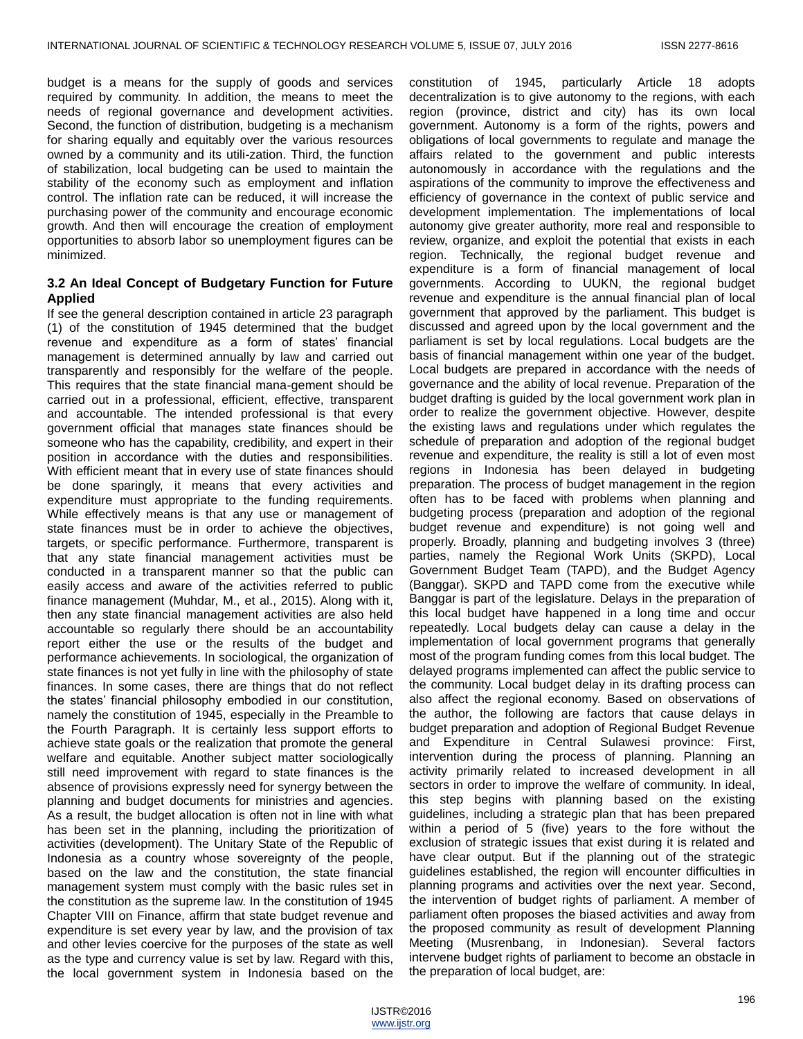budget is a means for the supply of goods and services required by community. In addition, the means to meet the needs of regional governance and development activities. Second, the function of distribution, budgeting is a mechanism for sharing equally and equitably over the various resources owned by a community and its utili-zation. Third, the function of stabilization, local budgeting can be used to maintain the stability of the economy such as employment and inflation control. The inflation rate can be reduced, it will increase the purchasing power of the community and encourage economic growth. And then will encourage the creation of employment opportunities to absorb labor so unemployment figures can be minimized.

# **3.2 An Ideal Concept of Budgetary Function for Future Applied**

If see the general description contained in article 23 paragraph (1) of the constitution of 1945 determined that the budget revenue and expenditure as a form of states' financial management is determined annually by law and carried out transparently and responsibly for the welfare of the people. This requires that the state financial mana-gement should be carried out in a professional, efficient, effective, transparent and accountable. The intended professional is that every government official that manages state finances should be someone who has the capability, credibility, and expert in their position in accordance with the duties and responsibilities. With efficient meant that in every use of state finances should be done sparingly, it means that every activities and expenditure must appropriate to the funding requirements. While effectively means is that any use or management of state finances must be in order to achieve the objectives, targets, or specific performance. Furthermore, transparent is that any state financial management activities must be conducted in a transparent manner so that the public can easily access and aware of the activities referred to public finance management (Muhdar, M., et al., 2015). Along with it, then any state financial management activities are also held accountable so regularly there should be an accountability report either the use or the results of the budget and performance achievements. In sociological, the organization of state finances is not yet fully in line with the philosophy of state finances. In some cases, there are things that do not reflect the states' financial philosophy embodied in our constitution, namely the constitution of 1945, especially in the Preamble to the Fourth Paragraph. It is certainly less support efforts to achieve state goals or the realization that promote the general welfare and equitable. Another subject matter sociologically still need improvement with regard to state finances is the absence of provisions expressly need for synergy between the planning and budget documents for ministries and agencies. As a result, the budget allocation is often not in line with what has been set in the planning, including the prioritization of activities (development). The Unitary State of the Republic of Indonesia as a country whose sovereignty of the people, based on the law and the constitution, the state financial management system must comply with the basic rules set in the constitution as the supreme law. In the constitution of 1945 Chapter VIII on Finance, affirm that state budget revenue and expenditure is set every year by law, and the provision of tax and other levies coercive for the purposes of the state as well as the type and currency value is set by law. Regard with this, the local government system in Indonesia based on the

constitution of 1945, particularly Article 18 adopts decentralization is to give autonomy to the regions, with each region (province, district and city) has its own local government. Autonomy is a form of the rights, powers and obligations of local governments to regulate and manage the affairs related to the government and public interests autonomously in accordance with the regulations and the aspirations of the community to improve the effectiveness and efficiency of governance in the context of public service and development implementation. The implementations of local autonomy give greater authority, more real and responsible to review, organize, and exploit the potential that exists in each region. Technically, the regional budget revenue and expenditure is a form of financial management of local governments. According to UUKN, the regional budget revenue and expenditure is the annual financial plan of local government that approved by the parliament. This budget is discussed and agreed upon by the local government and the parliament is set by local regulations. Local budgets are the basis of financial management within one year of the budget. Local budgets are prepared in accordance with the needs of governance and the ability of local revenue. Preparation of the budget drafting is guided by the local government work plan in order to realize the government objective. However, despite the existing laws and regulations under which regulates the schedule of preparation and adoption of the regional budget revenue and expenditure, the reality is still a lot of even most regions in Indonesia has been delayed in budgeting preparation. The process of budget management in the region often has to be faced with problems when planning and budgeting process (preparation and adoption of the regional budget revenue and expenditure) is not going well and properly. Broadly, planning and budgeting involves 3 (three) parties, namely the Regional Work Units (SKPD), Local Government Budget Team (TAPD), and the Budget Agency (Banggar). SKPD and TAPD come from the executive while Banggar is part of the legislature. Delays in the preparation of this local budget have happened in a long time and occur repeatedly. Local budgets delay can cause a delay in the implementation of local government programs that generally most of the program funding comes from this local budget. The delayed programs implemented can affect the public service to the community. Local budget delay in its drafting process can also affect the regional economy. Based on observations of the author, the following are factors that cause delays in budget preparation and adoption of Regional Budget Revenue and Expenditure in Central Sulawesi province: First, intervention during the process of planning. Planning an activity primarily related to increased development in all sectors in order to improve the welfare of community. In ideal, this step begins with planning based on the existing guidelines, including a strategic plan that has been prepared within a period of 5 (five) years to the fore without the exclusion of strategic issues that exist during it is related and have clear output. But if the planning out of the strategic guidelines established, the region will encounter difficulties in planning programs and activities over the next year. Second, the intervention of budget rights of parliament. A member of parliament often proposes the biased activities and away from the proposed community as result of development Planning Meeting (Musrenbang, in Indonesian). Several factors intervene budget rights of parliament to become an obstacle in the preparation of local budget, are: